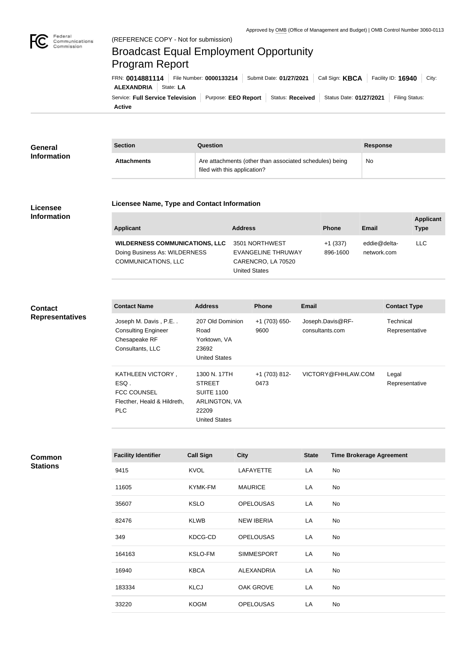

# Broadcast Equal Employment Opportunity Program Report

**Active** Service: Full Service Television | Purpose: EEO Report | Status: Received | Status Date: 01/27/2021 | Filing Status: **ALEXANDRIA** State: **LA** FRN: **0014881114** File Number: **0000133214** Submit Date: **01/27/2021** Call Sign: **KBCA** Facility ID: **16940** City:

| General            | <b>Section</b>     | Question                                                                                | <b>Response</b> |
|--------------------|--------------------|-----------------------------------------------------------------------------------------|-----------------|
| <b>Information</b> | <b>Attachments</b> | Are attachments (other than associated schedules) being<br>filed with this application? | No              |

#### **Licensee Information**

#### **Licensee Name, Type and Contact Information**

| Applicant                             | <b>Address</b>     | <b>Phone</b> | Email        | <b>Applicant</b><br><b>Type</b> |
|---------------------------------------|--------------------|--------------|--------------|---------------------------------|
| <b>WILDERNESS COMMUNICATIONS, LLC</b> | 3501 NORTHWEST     | $+1(337)$    | eddie@delta- | LLC                             |
| Doing Business As: WILDERNESS         | EVANGELINE THRUWAY | 896-1600     | network.com  |                                 |
| <b>COMMUNICATIONS, LLC</b>            | CARENCRO, LA 70520 |              |              |                                 |
|                                       | United States      |              |              |                                 |

# **Contact Representatives**

| <b>Contact Name</b>         | <b>Address</b>       | <b>Phone</b>  | <b>Email</b>       | <b>Contact Type</b> |
|-----------------------------|----------------------|---------------|--------------------|---------------------|
| Joseph M. Davis, P.E        | 207 Old Dominion     | +1 (703) 650- | Joseph.Davis@RF-   | Technical           |
| <b>Consulting Engineer</b>  | Road                 | 9600          | consultants.com    | Representative      |
| Chesapeake RF               | Yorktown, VA         |               |                    |                     |
| Consultants, LLC            | 23692                |               |                    |                     |
|                             | <b>United States</b> |               |                    |                     |
|                             |                      |               |                    |                     |
| KATHLEEN VICTORY,           | 1300 N. 17TH         | $+1(703)812-$ | VICTORY@FHHLAW.COM | Legal               |
| ESQ.                        | <b>STREET</b>        | 0473          |                    | Representative      |
| <b>FCC COUNSEL</b>          | <b>SUITE 1100</b>    |               |                    |                     |
| Flecther, Heald & Hildreth, | ARLINGTON, VA        |               |                    |                     |
| <b>PLC</b>                  | 22209                |               |                    |                     |
|                             | <b>United States</b> |               |                    |                     |

**Common** 

| <b>Stations</b> |
|-----------------|
|-----------------|

| <b>Facility Identifier</b> | <b>Call Sign</b> | <b>City</b>       | <b>State</b> | <b>Time Brokerage Agreement</b> |
|----------------------------|------------------|-------------------|--------------|---------------------------------|
| 9415                       | <b>KVOL</b>      | <b>LAFAYETTE</b>  | LA           | No                              |
| 11605                      | KYMK-FM          | <b>MAURICE</b>    | LA           | No                              |
| 35607                      | <b>KSLO</b>      | <b>OPELOUSAS</b>  | LA           | No                              |
| 82476                      | <b>KLWB</b>      | <b>NEW IBERIA</b> | LA           | No                              |
| 349                        | KDCG-CD          | <b>OPELOUSAS</b>  | LA           | No                              |
| 164163                     | KSLO-FM          | <b>SIMMESPORT</b> | LA           | No                              |
| 16940                      | <b>KBCA</b>      | <b>ALEXANDRIA</b> | LA           | No                              |
| 183334                     | <b>KLCJ</b>      | <b>OAK GROVE</b>  | LA           | No                              |
| 33220                      | <b>KOGM</b>      | <b>OPELOUSAS</b>  | LA           | No                              |
|                            |                  |                   |              |                                 |